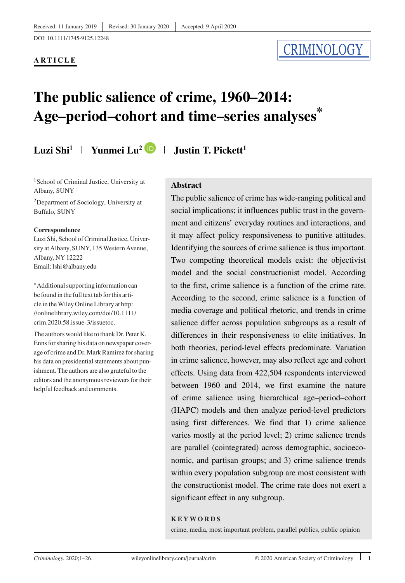DOI: 10.1111/1745-9125.12248

#### **ARTICLE**

# **CRIMINOLOGY**

# **The public salience of crime, 1960–2014: Age–period–cohort and time–series analyses\***

# **Luzi Shi1 Yunmei Lu2 Justin T. Pickett1**

<sup>1</sup> School of Criminal Justice, University at Albany, SUNY

2Department of Sociology, University at Buffalo, SUNY

#### **Correspondence**

Luzi Shi, School of Criminal Justice, University at Albany, SUNY, 135 Western Avenue, Albany, NY 12222 Email: lshi@albany.edu

<sup>∗</sup>Additional supporting information can be found in the full text tab for this article in theWiley Online Library at [http:](http://onlinelibrary.wiley.com/doi/10.1111/crim.2020.58.issue-3/issuetoc) [//onlinelibrary.wiley.com/doi/10.1111/](http://onlinelibrary.wiley.com/doi/10.1111/crim.2020.58.issue-3/issuetoc) [crim.2020.58.issue-3/issuetoc.](http://onlinelibrary.wiley.com/doi/10.1111/crim.2020.58.issue-3/issuetoc)

The authors would like to thank Dr. Peter K. Enns for sharing his data on newspaper coverage of crime and Dr. Mark Ramirez for sharing his data on presidential statements about punishment. The authors are also grateful to the editors and the anonymous reviewers for their helpful feedback and comments.

# **Abstract**

The public salience of crime has wide-ranging political and social implications; it influences public trust in the government and citizens' everyday routines and interactions, and it may affect policy responsiveness to punitive attitudes. Identifying the sources of crime salience is thus important. Two competing theoretical models exist: the objectivist model and the social constructionist model. According to the first, crime salience is a function of the crime rate. According to the second, crime salience is a function of media coverage and political rhetoric, and trends in crime salience differ across population subgroups as a result of differences in their responsiveness to elite initiatives. In both theories, period-level effects predominate. Variation in crime salience, however, may also reflect age and cohort effects. Using data from 422,504 respondents interviewed between 1960 and 2014, we first examine the nature of crime salience using hierarchical age–period–cohort (HAPC) models and then analyze period-level predictors using first differences. We find that 1) crime salience varies mostly at the period level; 2) crime salience trends are parallel (cointegrated) across demographic, socioeconomic, and partisan groups; and 3) crime salience trends within every population subgroup are most consistent with the constructionist model. The crime rate does not exert a significant effect in any subgroup.

#### **KEYWORDS**

crime, media, most important problem, parallel publics, public opinion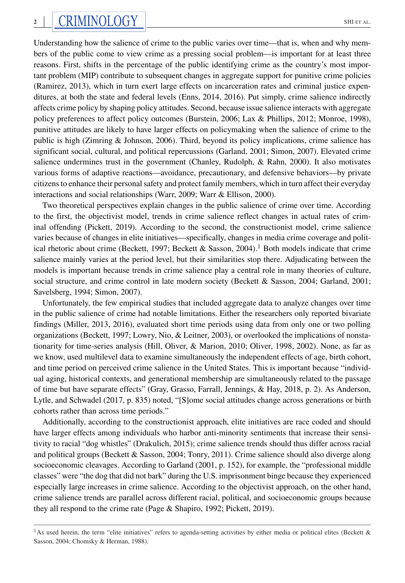Understanding how the salience of crime to the public varies over time—that is, when and why members of the public come to view crime as a pressing social problem—is important for at least three reasons. First, shifts in the percentage of the public identifying crime as the country's most important problem (MIP) contribute to subsequent changes in aggregate support for punitive crime policies (Ramirez, 2013), which in turn exert large effects on incarceration rates and criminal justice expenditures, at both the state and federal levels (Enns, 2014, 2016). Put simply, crime salience indirectly affects crime policy by shaping policy attitudes. Second, because issue salience interacts with aggregate policy preferences to affect policy outcomes (Burstein, 2006; Lax & Phillips, 2012; Monroe, 1998), punitive attitudes are likely to have larger effects on policymaking when the salience of crime to the public is high (Zimring & Johnson, 2006). Third, beyond its policy implications, crime salience has significant social, cultural, and political repercussions (Garland, 2001; Simon, 2007). Elevated crime salience undermines trust in the government (Chanley, Rudolph, & Rahn, 2000). It also motivates various forms of adaptive reactions—avoidance, precautionary, and defensive behaviors—by private citizens to enhance their personal safety and protect family members, which in turn affect their everyday interactions and social relationships (Warr, 2009; Warr & Ellison, 2000).

Two theoretical perspectives explain changes in the public salience of crime over time. According to the first, the objectivist model, trends in crime salience reflect changes in actual rates of criminal offending (Pickett, 2019). According to the second, the constructionist model, crime salience varies because of changes in elite initiatives—specifically, changes in media crime coverage and political rhetoric about crime (Beckett, 1997; Beckett & Sasson, 2004).<sup>1</sup> Both models indicate that crime salience mainly varies at the period level, but their similarities stop there. Adjudicating between the models is important because trends in crime salience play a central role in many theories of culture, social structure, and crime control in late modern society (Beckett & Sasson, 2004; Garland, 2001; Savelsberg, 1994; Simon, 2007).

Unfortunately, the few empirical studies that included aggregate data to analyze changes over time in the public salience of crime had notable limitations. Either the researchers only reported bivariate findings (Miller, 2013, 2016), evaluated short time periods using data from only one or two polling organizations (Beckett, 1997; Lowry, Nio, & Leitner, 2003), or overlooked the implications of nonstationarity for time-series analysis (Hill, Oliver, & Marion, 2010; Oliver, 1998, 2002). None, as far as we know, used multilevel data to examine simultaneously the independent effects of age, birth cohort, and time period on perceived crime salience in the United States. This is important because "individual aging, historical contexts, and generational membership are simultaneously related to the passage of time but have separate effects" (Gray, Grasso, Farrall, Jennings, & Hay, 2018, p. 2). As Anderson, Lytle, and Schwadel (2017, p. 835) noted, "[S]ome social attitudes change across generations or birth cohorts rather than across time periods."

Additionally, according to the constructionist approach, elite initiatives are race coded and should have larger effects among individuals who harbor anti-minority sentiments that increase their sensitivity to racial "dog whistles" (Drakulich, 2015); crime salience trends should thus differ across racial and political groups (Beckett & Sasson, 2004; Tonry, 2011). Crime salience should also diverge along socioeconomic cleavages. According to Garland (2001, p. 152), for example, the "professional middle classes" were "the dog that did not bark" during the U.S. imprisonment binge because they experienced especially large increases in crime salience. According to the objectivist approach, on the other hand, crime salience trends are parallel across different racial, political, and socioeconomic groups because they all respond to the crime rate (Page & Shapiro, 1992; Pickett, 2019).

<sup>&</sup>lt;sup>1</sup>As used herein, the term "elite initiatives" refers to agenda-setting activities by either media or political elites (Beckett  $\&$ Sasson, 2004; Chomsky & Herman, 1988).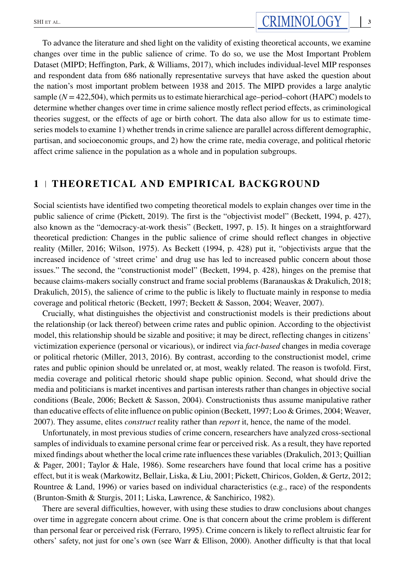To advance the literature and shed light on the validity of existing theoretical accounts, we examine changes over time in the public salience of crime. To do so, we use the Most Important Problem Dataset (MIPD; Heffington, Park, & Williams, 2017), which includes individual-level MIP responses and respondent data from 686 nationally representative surveys that have asked the question about the nation's most important problem between 1938 and 2015. The MIPD provides a large analytic sample  $(N = 422,504)$ , which permits us to estimate hierarchical age–period–cohort (HAPC) models to determine whether changes over time in crime salience mostly reflect period effects, as criminological theories suggest, or the effects of age or birth cohort. The data also allow for us to estimate timeseries models to examine 1) whether trends in crime salience are parallel across different demographic, partisan, and socioeconomic groups, and 2) how the crime rate, media coverage, and political rhetoric affect crime salience in the population as a whole and in population subgroups.

# **1 THEORETICAL AND EMPIRICAL BACKGROUND**

Social scientists have identified two competing theoretical models to explain changes over time in the public salience of crime (Pickett, 2019). The first is the "objectivist model" (Beckett, 1994, p. 427), also known as the "democracy-at-work thesis" (Beckett, 1997, p. 15). It hinges on a straightforward theoretical prediction: Changes in the public salience of crime should reflect changes in objective reality (Miller, 2016; Wilson, 1975). As Beckett (1994, p. 428) put it, "objectivists argue that the increased incidence of 'street crime' and drug use has led to increased public concern about those issues." The second, the "constructionist model" (Beckett, 1994, p. 428), hinges on the premise that because claims-makers socially construct and frame social problems (Baranauskas & Drakulich, 2018; Drakulich, 2015), the salience of crime to the public is likely to fluctuate mainly in response to media coverage and political rhetoric (Beckett, 1997; Beckett & Sasson, 2004; Weaver, 2007).

Crucially, what distinguishes the objectivist and constructionist models is their predictions about the relationship (or lack thereof) between crime rates and public opinion. According to the objectivist model, this relationship should be sizable and positive; it may be direct, reflecting changes in citizens' victimization experience (personal or vicarious), or indirect via *fact-based* changes in media coverage or political rhetoric (Miller, 2013, 2016). By contrast, according to the constructionist model, crime rates and public opinion should be unrelated or, at most, weakly related. The reason is twofold. First, media coverage and political rhetoric should shape public opinion. Second, what should drive the media and politicians is market incentives and partisan interests rather than changes in objective social conditions (Beale, 2006; Beckett & Sasson, 2004). Constructionists thus assume manipulative rather than educative effects of elite influence on public opinion (Beckett, 1997; Loo & Grimes, 2004; Weaver, 2007). They assume, elites *construct* reality rather than *report* it, hence, the name of the model.

Unfortunately, in most previous studies of crime concern, researchers have analyzed cross-sectional samples of individuals to examine personal crime fear or perceived risk. As a result, they have reported mixed findings about whether the local crime rate influences these variables (Drakulich, 2013; Quillian & Pager, 2001; Taylor & Hale, 1986). Some researchers have found that local crime has a positive effect, but it is weak (Markowitz, Bellair, Liska, & Liu, 2001; Pickett, Chiricos, Golden, & Gertz, 2012; Rountree & Land, 1996) or varies based on individual characteristics (e.g., race) of the respondents (Brunton-Smith & Sturgis, 2011; Liska, Lawrence, & Sanchirico, 1982).

There are several difficulties, however, with using these studies to draw conclusions about changes over time in aggregate concern about crime. One is that concern about the crime problem is different than personal fear or perceived risk (Ferraro, 1995). Crime concern is likely to reflect altruistic fear for others' safety, not just for one's own (see Warr & Ellison, 2000). Another difficulty is that that local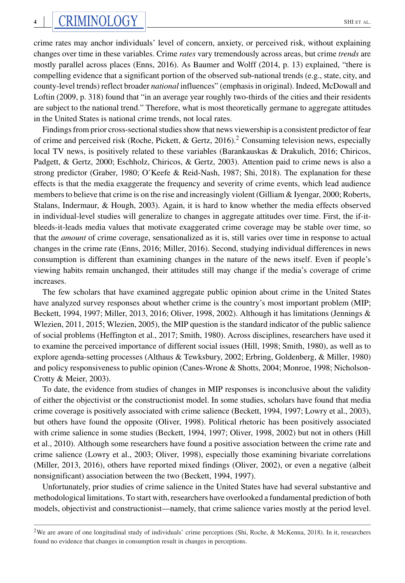crime rates may anchor individuals' level of concern, anxiety, or perceived risk, without explaining changes over time in these variables. Crime *rates* vary tremendously across areas, but crime *trends* are mostly parallel across places (Enns, 2016). As Baumer and Wolff (2014, p. 13) explained, "there is compelling evidence that a significant portion of the observed sub-national trends (e.g., state, city, and county-level trends) reflect broader *national* influences" (emphasis in original). Indeed, McDowall and Loftin (2009, p. 318) found that "in an average year roughly two-thirds of the cities and their residents are subject to the national trend." Therefore, what is most theoretically germane to aggregate attitudes in the United States is national crime trends, not local rates.

Findings from prior cross-sectional studies show that news viewership is a consistent predictor of fear of crime and perceived risk (Roche, Pickett, & Gertz, 2016).<sup>2</sup> Consuming television news, especially local TV news, is positively related to these variables (Barankauskas & Drakulich, 2016; Chiricos, Padgett, & Gertz, 2000; Eschholz, Chiricos, & Gertz, 2003). Attention paid to crime news is also a strong predictor (Graber, 1980; O'Keefe & Reid-Nash, 1987; Shi, 2018). The explanation for these effects is that the media exaggerate the frequency and severity of crime events, which lead audience members to believe that crime is on the rise and increasingly violent (Gilliam & Iyengar, 2000; Roberts, Stalans, Indermaur, & Hough, 2003). Again, it is hard to know whether the media effects observed in individual-level studies will generalize to changes in aggregate attitudes over time. First, the if-itbleeds-it-leads media values that motivate exaggerated crime coverage may be stable over time, so that the *amount* of crime coverage, sensationalized as it is, still varies over time in response to actual changes in the crime rate (Enns, 2016; Miller, 2016). Second, studying individual differences in news consumption is different than examining changes in the nature of the news itself. Even if people's viewing habits remain unchanged, their attitudes still may change if the media's coverage of crime increases.

The few scholars that have examined aggregate public opinion about crime in the United States have analyzed survey responses about whether crime is the country's most important problem (MIP; Beckett, 1994, 1997; Miller, 2013, 2016; Oliver, 1998, 2002). Although it has limitations (Jennings & Wlezien, 2011, 2015; Wlezien, 2005), the MIP question is the standard indicator of the public salience of social problems (Heffington et al., 2017; Smith, 1980). Across disciplines, researchers have used it to examine the perceived importance of different social issues (Hill, 1998; Smith, 1980), as well as to explore agenda-setting processes (Althaus & Tewksbury, 2002; Erbring, Goldenberg, & Miller, 1980) and policy responsiveness to public opinion (Canes-Wrone & Shotts, 2004; Monroe, 1998; Nicholson-Crotty & Meier, 2003).

To date, the evidence from studies of changes in MIP responses is inconclusive about the validity of either the objectivist or the constructionist model. In some studies, scholars have found that media crime coverage is positively associated with crime salience (Beckett, 1994, 1997; Lowry et al., 2003), but others have found the opposite (Oliver, 1998). Political rhetoric has been positively associated with crime salience in some studies (Beckett, 1994, 1997; Oliver, 1998, 2002) but not in others (Hill et al., 2010). Although some researchers have found a positive association between the crime rate and crime salience (Lowry et al., 2003; Oliver, 1998), especially those examining bivariate correlations (Miller, 2013, 2016), others have reported mixed findings (Oliver, 2002), or even a negative (albeit nonsignificant) association between the two (Beckett, 1994, 1997).

Unfortunately, prior studies of crime salience in the United States have had several substantive and methodological limitations. To start with, researchers have overlooked a fundamental prediction of both models, objectivist and constructionist—namely, that crime salience varies mostly at the period level.

<sup>&</sup>lt;sup>2</sup>We are aware of one longitudinal study of individuals' crime perceptions (Shi, Roche, & McKenna, 2018). In it, researchers found no evidence that changes in consumption result in changes in perceptions.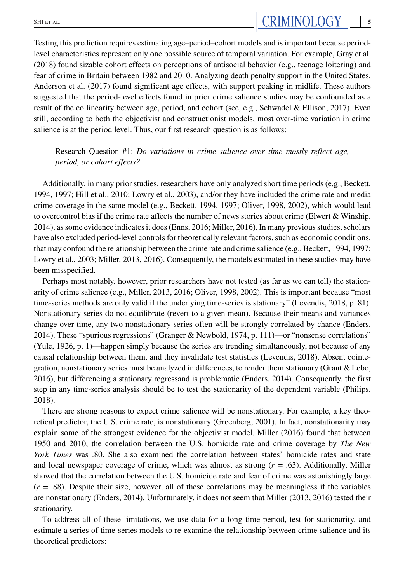Testing this prediction requires estimating age–period–cohort models and is important because periodlevel characteristics represent only one possible source of temporal variation. For example, Gray et al. (2018) found sizable cohort effects on perceptions of antisocial behavior (e.g., teenage loitering) and fear of crime in Britain between 1982 and 2010. Analyzing death penalty support in the United States, Anderson et al. (2017) found significant age effects, with support peaking in midlife. These authors suggested that the period-level effects found in prior crime salience studies may be confounded as a result of the collinearity between age, period, and cohort (see, e.g., Schwadel & Ellison, 2017). Even still, according to both the objectivist and constructionist models, most over-time variation in crime salience is at the period level. Thus, our first research question is as follows:

Research Question #1: *Do variations in crime salience over time mostly reflect age, period, or cohort effects?*

Additionally, in many prior studies, researchers have only analyzed short time periods (e.g., Beckett, 1994, 1997; Hill et al., 2010; Lowry et al., 2003), and/or they have included the crime rate and media crime coverage in the same model (e.g., Beckett, 1994, 1997; Oliver, 1998, 2002), which would lead to overcontrol bias if the crime rate affects the number of news stories about crime (Elwert & Winship, 2014), as some evidence indicates it does (Enns, 2016; Miller, 2016). In many previous studies, scholars have also excluded period-level controls for theoretically relevant factors, such as economic conditions, that may confound the relationship between the crime rate and crime salience (e.g., Beckett, 1994, 1997; Lowry et al., 2003; Miller, 2013, 2016). Consequently, the models estimated in these studies may have been misspecified.

Perhaps most notably, however, prior researchers have not tested (as far as we can tell) the stationarity of crime salience (e.g., Miller, 2013, 2016; Oliver, 1998, 2002). This is important because "most time-series methods are only valid if the underlying time-series is stationary" (Levendis, 2018, p. 81). Nonstationary series do not equilibrate (revert to a given mean). Because their means and variances change over time, any two nonstationary series often will be strongly correlated by chance (Enders, 2014). These "spurious regressions" (Granger & Newbold, 1974, p. 111)—or "nonsense correlations" (Yule, 1926, p. 1)—happen simply because the series are trending simultaneously, not because of any causal relationship between them, and they invalidate test statistics (Levendis, 2018). Absent cointegration, nonstationary series must be analyzed in differences, to render them stationary (Grant & Lebo, 2016), but differencing a stationary regressand is problematic (Enders, 2014). Consequently, the first step in any time-series analysis should be to test the stationarity of the dependent variable (Philips, 2018).

There are strong reasons to expect crime salience will be nonstationary. For example, a key theoretical predictor, the U.S. crime rate, is nonstationary (Greenberg, 2001). In fact, nonstationarity may explain some of the strongest evidence for the objectivist model. Miller (2016) found that between 1950 and 2010, the correlation between the U.S. homicide rate and crime coverage by *The New York Times* was .80. She also examined the correlation between states' homicide rates and state and local newspaper coverage of crime, which was almost as strong  $(r = .63)$ . Additionally, Miller showed that the correlation between the U.S. homicide rate and fear of crime was astonishingly large  $(r = .88)$ . Despite their size, however, all of these correlations may be meaningless if the variables are nonstationary (Enders, 2014). Unfortunately, it does not seem that Miller (2013, 2016) tested their stationarity.

To address all of these limitations, we use data for a long time period, test for stationarity, and estimate a series of time-series models to re-examine the relationship between crime salience and its theoretical predictors: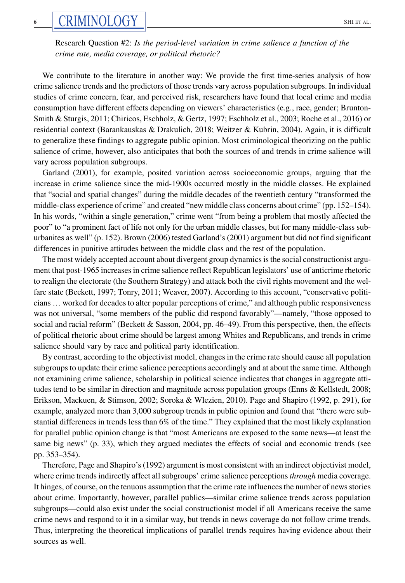# **6**  $\text{CRIMINOLOGY}$   $\parallel$   $\text{SRINCIOGY}$

Research Question #2: *Is the period-level variation in crime salience a function of the crime rate, media coverage, or political rhetoric?*

We contribute to the literature in another way: We provide the first time-series analysis of how crime salience trends and the predictors of those trends vary across population subgroups. In individual studies of crime concern, fear, and perceived risk, researchers have found that local crime and media consumption have different effects depending on viewers' characteristics (e.g., race, gender; Brunton-Smith & Sturgis, 2011; Chiricos, Eschholz, & Gertz, 1997; Eschholz et al., 2003; Roche et al., 2016) or residential context (Barankauskas & Drakulich, 2018; Weitzer & Kubrin, 2004). Again, it is difficult to generalize these findings to aggregate public opinion. Most criminological theorizing on the public salience of crime, however, also anticipates that both the sources of and trends in crime salience will vary across population subgroups.

Garland (2001), for example, posited variation across socioeconomic groups, arguing that the increase in crime salience since the mid-1900s occurred mostly in the middle classes. He explained that "social and spatial changes" during the middle decades of the twentieth century "transformed the middle-class experience of crime" and created "new middle class concerns about crime" (pp. 152–154). In his words, "within a single generation," crime went "from being a problem that mostly affected the poor" to "a prominent fact of life not only for the urban middle classes, but for many middle-class suburbanites as well" (p. 152). Brown (2006) tested Garland's (2001) argument but did not find significant differences in punitive attitudes between the middle class and the rest of the population.

The most widely accepted account about divergent group dynamics is the social constructionist argument that post-1965 increases in crime salience reflect Republican legislators' use of anticrime rhetoric to realign the electorate (the Southern Strategy) and attack both the civil rights movement and the welfare state (Beckett, 1997; Tonry, 2011; Weaver, 2007). According to this account, "conservative politicians … worked for decades to alter popular perceptions of crime," and although public responsiveness was not universal, "some members of the public did respond favorably"—namely, "those opposed to social and racial reform" (Beckett & Sasson, 2004, pp. 46–49). From this perspective, then, the effects of political rhetoric about crime should be largest among Whites and Republicans, and trends in crime salience should vary by race and political party identification.

By contrast, according to the objectivist model, changes in the crime rate should cause all population subgroups to update their crime salience perceptions accordingly and at about the same time. Although not examining crime salience, scholarship in political science indicates that changes in aggregate attitudes tend to be similar in direction and magnitude across population groups (Enns & Kellstedt, 2008; Erikson, Mackuen, & Stimson, 2002; Soroka & Wlezien, 2010). Page and Shapiro (1992, p. 291), for example, analyzed more than 3,000 subgroup trends in public opinion and found that "there were substantial differences in trends less than 6% of the time." They explained that the most likely explanation for parallel public opinion change is that "most Americans are exposed to the same news—at least the same big news" (p. 33), which they argued mediates the effects of social and economic trends (see pp. 353–354).

Therefore, Page and Shapiro's (1992) argument is most consistent with an indirect objectivist model, where crime trends indirectly affect all subgroups' crime salience perceptions *through* media coverage. It hinges, of course, on the tenuous assumption that the crime rate influences the number of news stories about crime. Importantly, however, parallel publics—similar crime salience trends across population subgroups—could also exist under the social constructionist model if all Americans receive the same crime news and respond to it in a similar way, but trends in news coverage do not follow crime trends. Thus, interpreting the theoretical implications of parallel trends requires having evidence about their sources as well.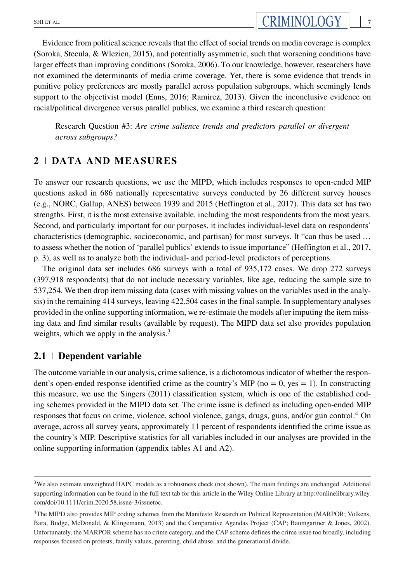Research Question #3: *Are crime salience trends and predictors parallel or divergent across subgroups?*

# **2 DATA AND MEASURES**

To answer our research questions, we use the MIPD, which includes responses to open-ended MIP questions asked in 686 nationally representative surveys conducted by 26 different survey houses (e.g., NORC, Gallup, ANES) between 1939 and 2015 (Heffington et al., 2017). This data set has two strengths. First, it is the most extensive available, including the most respondents from the most years. Second, and particularly important for our purposes, it includes individual-level data on respondents' characteristics (demographic, socioeconomic, and partisan) for most surveys. It "can thus be used … to assess whether the notion of 'parallel publics' extends to issue importance" (Heffington et al., 2017, p. 3), as well as to analyze both the individual- and period-level predictors of perceptions.

The original data set includes 686 surveys with a total of 935,172 cases. We drop 272 surveys (397,918 respondents) that do not include necessary variables, like age, reducing the sample size to 537,254. We then drop item missing data (cases with missing values on the variables used in the analysis) in the remaining 414 surveys, leaving 422,504 cases in the final sample. In supplementary analyses provided in the online supporting information, we re-estimate the models after imputing the item missing data and find similar results (available by request). The MIPD data set also provides population weights, which we apply in the analysis. $3$ 

# **2.1 Dependent variable**

The outcome variable in our analysis, crime salience, is a dichotomous indicator of whether the respondent's open-ended response identified crime as the country's MIP ( $no = 0$ ,  $yes = 1$ ). In constructing this measure, we use the Singers (2011) classification system, which is one of the established coding schemes provided in the MIPD data set. The crime issue is defined as including open-ended MIP responses that focus on crime, violence, school violence, gangs, drugs, guns, and/or gun control.<sup>4</sup> On average, across all survey years, approximately 11 percent of respondents identified the crime issue as the country's MIP. Descriptive statistics for all variables included in our analyses are provided in the online supporting information (appendix tables A1 and A2).

 $3$ We also estimate unweighted HAPC models as a robustness check (not shown). The main findings are unchanged. Additional supporting information can be found in the full text tab for this article in the Wiley Online Library at [http://onlinelibrary.wiley.](http://onlinelibrary.wiley.com/doi/10.1111/crim.2020.58.issue-3/issuetoc) [com/doi/10.1111/crim.2020.58.issue-3/issuetoc.](http://onlinelibrary.wiley.com/doi/10.1111/crim.2020.58.issue-3/issuetoc)

<sup>4</sup>The MIPD also provides MIP coding schemes from the Manifesto Research on Political Representation (MARPOR; Volkens, Bara, Budge, McDonald, & Klingemann, 2013) and the Comparative Agendas Project (CAP; Baumgartner & Jones, 2002). Unfortunately, the MARPOR scheme has no crime category, and the CAP scheme defines the crime issue too broadly, including responses focused on protests, family values, parenting, child abuse, and the generational divide.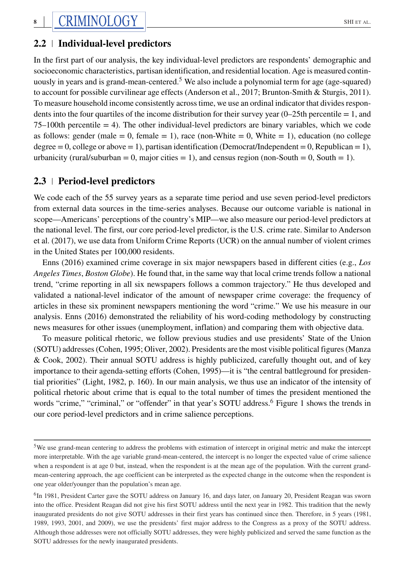# **2.2 Individual-level predictors**

In the first part of our analysis, the key individual-level predictors are respondents' demographic and socioeconomic characteristics, partisan identification, and residential location. Age is measured continuously in years and is grand-mean-centered.<sup>5</sup> We also include a polynomial term for age (age-squared) to account for possible curvilinear age effects (Anderson et al., 2017; Brunton-Smith & Sturgis, 2011). To measure household income consistently across time, we use an ordinal indicator that divides respondents into the four quartiles of the income distribution for their survey year  $(0-25$ th percentile  $= 1$ , and  $75-100$ th percentile  $= 4$ ). The other individual-level predictors are binary variables, which we code as follows: gender (male = 0, female = 1), race (non-White = 0, White = 1), education (no college degree  $= 0$ , college or above  $= 1$ ), partisan identification (Democrat/Independent  $= 0$ , Republican  $= 1$ ), urbanicity (rural/suburban = 0, major cities = 1), and census region (non-South = 0, South = 1).

# **2.3 Period-level predictors**

We code each of the 55 survey years as a separate time period and use seven period-level predictors from external data sources in the time-series analyses. Because our outcome variable is national in scope—Americans' perceptions of the country's MIP—we also measure our period-level predictors at the national level. The first, our core period-level predictor, is the U.S. crime rate. Similar to Anderson et al. (2017), we use data from Uniform Crime Reports (UCR) on the annual number of violent crimes in the United States per 100,000 residents.

Enns (2016) examined crime coverage in six major newspapers based in different cities (e.g., *Los Angeles Times*, *Boston Globe*). He found that, in the same way that local crime trends follow a national trend, "crime reporting in all six newspapers follows a common trajectory." He thus developed and validated a national-level indicator of the amount of newspaper crime coverage: the frequency of articles in these six prominent newspapers mentioning the word "crime." We use his measure in our analysis. Enns (2016) demonstrated the reliability of his word-coding methodology by constructing news measures for other issues (unemployment, inflation) and comparing them with objective data.

To measure political rhetoric, we follow previous studies and use presidents' State of the Union (SOTU) addresses (Cohen, 1995; Oliver, 2002). Presidents are the most visible political figures (Manza & Cook, 2002). Their annual SOTU address is highly publicized, carefully thought out, and of key importance to their agenda-setting efforts (Cohen, 1995)—it is "the central battleground for presidential priorities" (Light, 1982, p. 160). In our main analysis, we thus use an indicator of the intensity of political rhetoric about crime that is equal to the total number of times the president mentioned the words "crime," "criminal," or "offender" in that year's SOTU address.<sup>6</sup> Figure 1 shows the trends in our core period-level predictors and in crime salience perceptions.

<sup>5</sup>We use grand-mean centering to address the problems with estimation of intercept in original metric and make the intercept more interpretable. With the age variable grand-mean-centered, the intercept is no longer the expected value of crime salience when a respondent is at age 0 but, instead, when the respondent is at the mean age of the population. With the current grandmean-centering approach, the age coefficient can be interpreted as the expected change in the outcome when the respondent is one year older/younger than the population's mean age.

<sup>&</sup>lt;sup>6</sup>In 1981, President Carter gave the SOTU address on January 16, and days later, on January 20, President Reagan was sworn into the office. President Reagan did not give his first SOTU address until the next year in 1982. This tradition that the newly inaugurated presidents do not give SOTU addresses in their first years has continued since then. Therefore, in 5 years (1981, 1989, 1993, 2001, and 2009), we use the presidents' first major address to the Congress as a proxy of the SOTU address. Although those addresses were not officially SOTU addresses, they were highly publicized and served the same function as the SOTU addresses for the newly inaugurated presidents.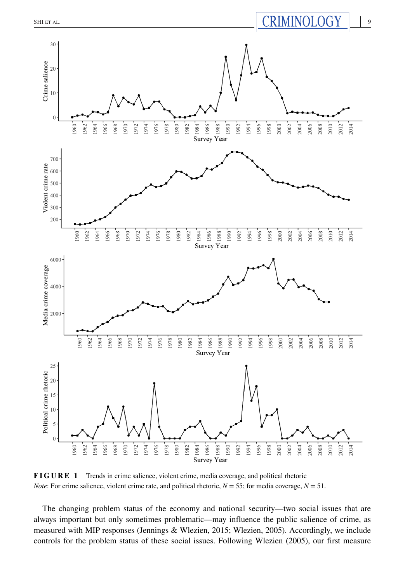

**FIGURE 1** Trends in crime salience, violent crime, media coverage, and political rhetoric *Note*: For crime salience, violent crime rate, and political rhetoric,  $N = 55$ ; for media coverage,  $N = 51$ .

The changing problem status of the economy and national security—two social issues that are always important but only sometimes problematic—may influence the public salience of crime, as measured with MIP responses (Jennings & Wlezien, 2015; Wlezien, 2005). Accordingly, we include controls for the problem status of these social issues. Following Wlezien (2005), our first measure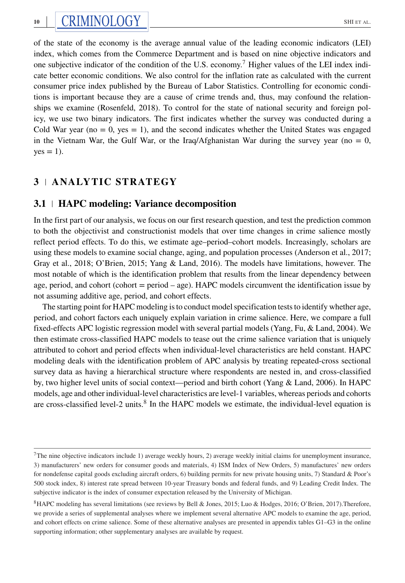of the state of the economy is the average annual value of the leading economic indicators (LEI) index, which comes from the Commerce Department and is based on nine objective indicators and one subjective indicator of the condition of the U.S. economy.<sup>7</sup> Higher values of the LEI index indicate better economic conditions. We also control for the inflation rate as calculated with the current consumer price index published by the Bureau of Labor Statistics. Controlling for economic conditions is important because they are a cause of crime trends and, thus, may confound the relationships we examine (Rosenfeld, 2018). To control for the state of national security and foreign policy, we use two binary indicators. The first indicates whether the survey was conducted during a Cold War year ( $no = 0$ , yes = 1), and the second indicates whether the United States was engaged in the Vietnam War, the Gulf War, or the Iraq/Afghanistan War during the survey year (no  $= 0$ ,  $yes = 1$ ).

# **3 ANALYTIC STRATEGY**

# **3.1 HAPC modeling: Variance decomposition**

In the first part of our analysis, we focus on our first research question, and test the prediction common to both the objectivist and constructionist models that over time changes in crime salience mostly reflect period effects. To do this, we estimate age–period–cohort models. Increasingly, scholars are using these models to examine social change, aging, and population processes (Anderson et al., 2017; Gray et al., 2018; O'Brien, 2015; Yang & Land, 2016). The models have limitations, however. The most notable of which is the identification problem that results from the linear dependency between age, period, and cohort (cohort = period – age). HAPC models circumvent the identification issue by not assuming additive age, period, and cohort effects.

The starting point for HAPC modeling is to conduct model specification tests to identify whether age, period, and cohort factors each uniquely explain variation in crime salience. Here, we compare a full fixed-effects APC logistic regression model with several partial models (Yang, Fu, & Land, 2004). We then estimate cross-classified HAPC models to tease out the crime salience variation that is uniquely attributed to cohort and period effects when individual-level characteristics are held constant. HAPC modeling deals with the identification problem of APC analysis by treating repeated-cross sectional survey data as having a hierarchical structure where respondents are nested in, and cross-classified by, two higher level units of social context—period and birth cohort (Yang & Land, 2006). In HAPC models, age and other individual-level characteristics are level-1 variables, whereas periods and cohorts are cross-classified level-2 units.<sup>8</sup> In the HAPC models we estimate, the individual-level equation is

 $7$ The nine objective indicators include 1) average weekly hours, 2) average weekly initial claims for unemployment insurance, 3) manufacturers' new orders for consumer goods and materials, 4) ISM Index of New Orders, 5) manufactures' new orders for nondefense capital goods excluding aircraft orders, 6) building permits for new private housing units, 7) Standard & Poor's 500 stock index, 8) interest rate spread between 10-year Treasury bonds and federal funds, and 9) Leading Credit Index. The subjective indicator is the index of consumer expectation released by the University of Michigan.

<sup>8</sup>HAPC modeling has several limitations (see reviews by Bell & Jones, 2015; Luo & Hodges, 2016; O'Brien, 2017).Therefore, we provide a series of supplemental analyses where we implement several alternative APC models to examine the age, period, and cohort effects on crime salience. Some of these alternative analyses are presented in appendix tables G1–G3 in the online supporting information; other supplementary analyses are available by request.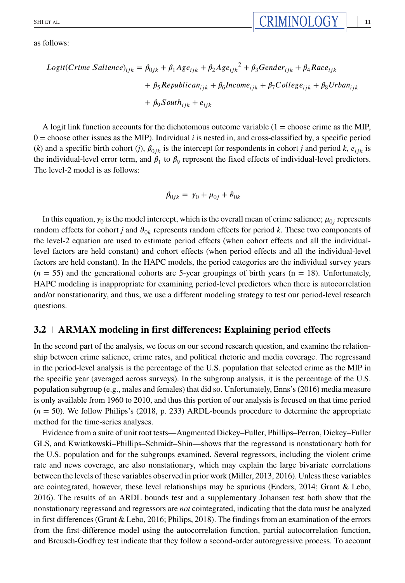as follows:

$$
Logit(Crime Salience)_{ijk} = \beta_{0jk} + \beta_1 Age_{ijk} + \beta_2 Age_{ijk}^2 + \beta_3Gender_{ijk} + \beta_4 Race_{ijk}
$$
  
+  $\beta_5 Republican_{ijk} + \beta_6 Income_{ijk} + \beta_7 College_{ijk} + \beta_8Urban_{ijk}$   
+  $\beta_9 South_{ijk} + e_{ijk}$ 

A logit link function accounts for the dichotomous outcome variable  $(1 = \text{choose}$  crime as the MIP,  $0 =$  choose other issues as the MIP). Individual *i* is nested in, and cross-classified by, a specific period (*k*) and a specific birth cohort (*j*),  $\beta_{0ik}$  is the intercept for respondents in cohort *j* and period *k*,  $e_{ijk}$  is the individual-level error term, and  $\beta_1$  to  $\beta_9$  represent the fixed effects of individual-level predictors. The level-2 model is as follows:

$$
\beta_{0jk} = \gamma_0 + \mu_{0j} + \vartheta_{0k}
$$

In this equation,  $\gamma_0$  is the model intercept, which is the overall mean of crime salience;  $\mu_{0i}$  represents random effects for cohort *j* and  $\theta_{0k}$  represents random effects for period *k*. These two components of the level-2 equation are used to estimate period effects (when cohort effects and all the individuallevel factors are held constant) and cohort effects (when period effects and all the individual-level factors are held constant). In the HAPC models, the period categories are the individual survey years  $(n = 55)$  and the generational cohorts are 5-year groupings of birth years  $(n = 18)$ . Unfortunately, HAPC modeling is inappropriate for examining period-level predictors when there is autocorrelation and/or nonstationarity, and thus, we use a different modeling strategy to test our period-level research questions.

## **3.2 ARMAX modeling in first differences: Explaining period effects**

In the second part of the analysis, we focus on our second research question, and examine the relationship between crime salience, crime rates, and political rhetoric and media coverage. The regressand in the period-level analysis is the percentage of the U.S. population that selected crime as the MIP in the specific year (averaged across surveys). In the subgroup analysis, it is the percentage of the U.S. population subgroup (e.g., males and females) that did so. Unfortunately, Enns's (2016) media measure is only available from 1960 to 2010, and thus this portion of our analysis is focused on that time period (*n* = 50). We follow Philips's (2018, p. 233) ARDL-bounds procedure to determine the appropriate method for the time-series analyses.

Evidence from a suite of unit root tests—Augmented Dickey–Fuller, Phillips–Perron, Dickey–Fuller GLS, and Kwiatkowski–Phillips–Schmidt–Shin—shows that the regressand is nonstationary both for the U.S. population and for the subgroups examined. Several regressors, including the violent crime rate and news coverage, are also nonstationary, which may explain the large bivariate correlations between the levels of these variables observed in prior work (Miller, 2013, 2016). Unless these variables are cointegrated, however, these level relationships may be spurious (Enders, 2014; Grant & Lebo, 2016). The results of an ARDL bounds test and a supplementary Johansen test both show that the nonstationary regressand and regressors are *not* cointegrated, indicating that the data must be analyzed in first differences (Grant & Lebo, 2016; Philips, 2018). The findings from an examination of the errors from the first-difference model using the autocorrelation function, partial autocorrelation function, and Breusch-Godfrey test indicate that they follow a second-order autoregressive process. To account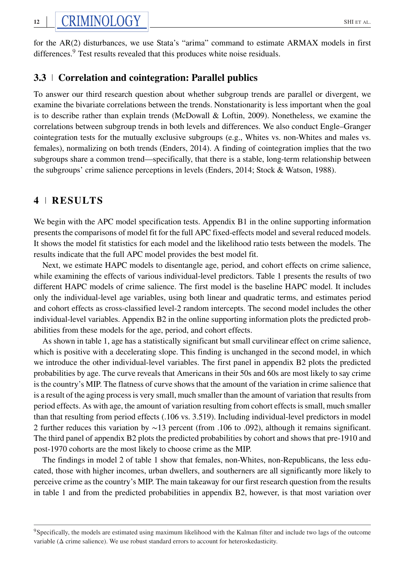for the AR(2) disturbances, we use Stata's "arima" command to estimate ARMAX models in first differences.<sup>9</sup> Test results revealed that this produces white noise residuals.

# **3.3 Correlation and cointegration: Parallel publics**

To answer our third research question about whether subgroup trends are parallel or divergent, we examine the bivariate correlations between the trends. Nonstationarity is less important when the goal is to describe rather than explain trends (McDowall & Loftin, 2009). Nonetheless, we examine the correlations between subgroup trends in both levels and differences. We also conduct Engle–Granger cointegration tests for the mutually exclusive subgroups (e.g., Whites vs. non-Whites and males vs. females), normalizing on both trends (Enders, 2014). A finding of cointegration implies that the two subgroups share a common trend—specifically, that there is a stable, long-term relationship between the subgroups' crime salience perceptions in levels (Enders, 2014; Stock & Watson, 1988).

# **4 RESULTS**

We begin with the APC model specification tests. Appendix B1 in the online supporting information presents the comparisons of model fit for the full APC fixed-effects model and several reduced models. It shows the model fit statistics for each model and the likelihood ratio tests between the models. The results indicate that the full APC model provides the best model fit.

Next, we estimate HAPC models to disentangle age, period, and cohort effects on crime salience, while examining the effects of various individual-level predictors. Table 1 presents the results of two different HAPC models of crime salience. The first model is the baseline HAPC model. It includes only the individual-level age variables, using both linear and quadratic terms, and estimates period and cohort effects as cross-classified level-2 random intercepts. The second model includes the other individual-level variables. Appendix B2 in the online supporting information plots the predicted probabilities from these models for the age, period, and cohort effects.

As shown in table 1, age has a statistically significant but small curvilinear effect on crime salience, which is positive with a decelerating slope. This finding is unchanged in the second model, in which we introduce the other individual-level variables. The first panel in appendix B2 plots the predicted probabilities by age. The curve reveals that Americans in their 50s and 60s are most likely to say crime is the country's MIP. The flatness of curve shows that the amount of the variation in crime salience that is a result of the aging process is very small, much smaller than the amount of variation that results from period effects. As with age, the amount of variation resulting from cohort effects is small, much smaller than that resulting from period effects (.106 vs. 3.519). Including individual-level predictors in model 2 further reduces this variation by ∼13 percent (from .106 to .092), although it remains significant. The third panel of appendix B2 plots the predicted probabilities by cohort and shows that pre-1910 and post-1970 cohorts are the most likely to choose crime as the MIP.

The findings in model 2 of table 1 show that females, non-Whites, non-Republicans, the less educated, those with higher incomes, urban dwellers, and southerners are all significantly more likely to perceive crime as the country's MIP. The main takeaway for our first research question from the results in table 1 and from the predicted probabilities in appendix B2, however, is that most variation over

<sup>9</sup>Specifically, the models are estimated using maximum likelihood with the Kalman filter and include two lags of the outcome variable  $(\Delta$  crime salience). We use robust standard errors to account for heteroskedasticity.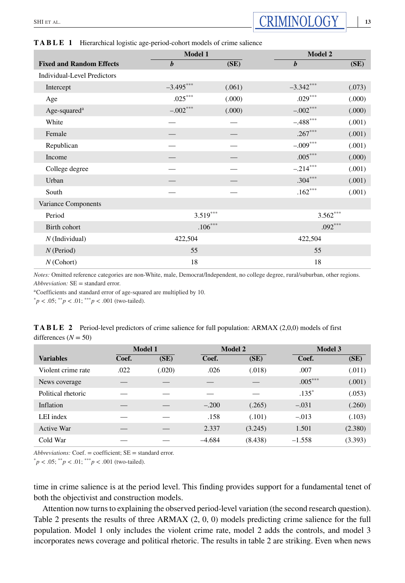|                                    | Model 1          | Model 2 |                  |        |  |  |
|------------------------------------|------------------|---------|------------------|--------|--|--|
| <b>Fixed and Random Effects</b>    | $\boldsymbol{b}$ | (SE)    | $\boldsymbol{b}$ | (SE)   |  |  |
| <b>Individual-Level Predictors</b> |                  |         |                  |        |  |  |
| Intercept                          | $-3.495***$      | (.061)  | $-3.342***$      | (.073) |  |  |
| Age                                | $.025***$        | (.000)  | $.029***$        | (.000) |  |  |
| Age-squared <sup>a</sup>           | $-.002***$       | (.000)  | $-.002***$       | (.000) |  |  |
| White                              |                  |         | $-.488$ ***      | (.001) |  |  |
| Female                             |                  |         | $.267***$        | (.001) |  |  |
| Republican                         |                  |         | $-.009***$       | (.001) |  |  |
| Income                             |                  |         | $.005***$        | (.000) |  |  |
| College degree                     |                  |         | $-.214***$       | (.001) |  |  |
| Urban                              |                  |         | $.304***$        | (.001) |  |  |
| South                              |                  |         | $.162***$        | (.001) |  |  |
| Variance Components                |                  |         |                  |        |  |  |
| Period                             | $3.519***$       |         | $3.562***$       |        |  |  |
| Birth cohort                       | $.106***$        |         | $.092***$        |        |  |  |
| $N$ (Individual)                   | 422,504          |         | 422,504          |        |  |  |
| $N$ (Period)                       | 55               |         | 55               |        |  |  |
| $N$ (Cohort)                       | 18               |         | 18               |        |  |  |

**TABLE 1** Hierarchical logistic age-period-cohort models of crime salience

*Notes:* Omitted reference categories are non-White, male, Democrat/Independent, no college degree, rural/suburban, other regions. *Abbreviation:* SE = standard error.

aCoefficients and standard error of age-squared are multiplied by 10.

 ${}^{*}p$  < .05;  ${}^{**}p$  < .01;  ${}^{***}p$  < .001 (two-tailed).

|                        | <b>TABLE 2</b> Period-level predictors of crime salience for full population: ARMAX (2,0,0) models of first |
|------------------------|-------------------------------------------------------------------------------------------------------------|
| differences $(N = 50)$ |                                                                                                             |

|                    | <b>Model 1</b> |        |          | <b>Model 2</b> | <b>Model 3</b> |         |  |
|--------------------|----------------|--------|----------|----------------|----------------|---------|--|
| <b>Variables</b>   | Coef.          | (SE)   | Coef.    | (SE)           | Coef.          | (SE)    |  |
| Violent crime rate | .022           | (.020) | .026     | (.018)         | .007           | (.011)  |  |
| News coverage      |                |        |          |                | $.005***$      | (.001)  |  |
| Political rhetoric |                |        |          |                | $.135*$        | (.053)  |  |
| Inflation          |                |        | $-.200$  | (.265)         | $-.031$        | (.260)  |  |
| LEI index          |                |        | .158     | (.101)         | $-.013$        | (.103)  |  |
| Active War         |                |        | 2.337    | (3.245)        | 1.501          | (2.380) |  |
| Cold War           |                |        | $-4.684$ | (8.438)        | $-1.558$       | (3.393) |  |

*Abbreviations:* Coef. = coefficient; SE = standard error.

 ${}^{*}p$  < .05;  ${}^{*}p$  < .01;  ${}^{***}p$  < .001 (two-tailed).

time in crime salience is at the period level. This finding provides support for a fundamental tenet of both the objectivist and construction models.

Attention now turns to explaining the observed period-level variation (the second research question). Table 2 presents the results of three ARMAX (2, 0, 0) models predicting crime salience for the full population. Model 1 only includes the violent crime rate, model 2 adds the controls, and model 3 incorporates news coverage and political rhetoric. The results in table 2 are striking. Even when news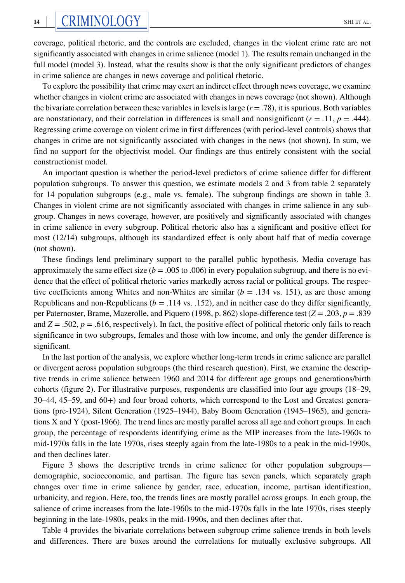coverage, political rhetoric, and the controls are excluded, changes in the violent crime rate are not significantly associated with changes in crime salience (model 1). The results remain unchanged in the full model (model 3). Instead, what the results show is that the only significant predictors of changes in crime salience are changes in news coverage and political rhetoric.

To explore the possibility that crime may exert an indirect effect through news coverage, we examine whether changes in violent crime are associated with changes in news coverage (not shown). Although the bivariate correlation between these variables in levels is large  $(r = .78)$ , it is spurious. Both variables are nonstationary, and their correlation in differences is small and nonsignificant  $(r = .11, p = .444)$ . Regressing crime coverage on violent crime in first differences (with period-level controls) shows that changes in crime are not significantly associated with changes in the news (not shown). In sum, we find no support for the objectivist model. Our findings are thus entirely consistent with the social constructionist model.

An important question is whether the period-level predictors of crime salience differ for different population subgroups. To answer this question, we estimate models 2 and 3 from table 2 separately for 14 population subgroups (e.g., male vs. female). The subgroup findings are shown in table 3. Changes in violent crime are not significantly associated with changes in crime salience in any subgroup. Changes in news coverage, however, are positively and significantly associated with changes in crime salience in every subgroup. Political rhetoric also has a significant and positive effect for most (12/14) subgroups, although its standardized effect is only about half that of media coverage (not shown).

These findings lend preliminary support to the parallel public hypothesis. Media coverage has approximately the same effect size  $(b = .005$  to  $.006)$  in every population subgroup, and there is no evidence that the effect of political rhetoric varies markedly across racial or political groups. The respective coefficients among Whites and non-Whites are similar  $(b = .134 \text{ vs. } 151)$ , as are those among Republicans and non-Republicans  $(b = .114 \text{ vs. } .152)$ , and in neither case do they differ significantly, per Paternoster, Brame, Mazerolle, and Piquero (1998, p. 862) slope-difference test (*Z* = .203, *p* = .839 and  $Z = .502$ ,  $p = .616$ , respectively). In fact, the positive effect of political rhetoric only fails to reach significance in two subgroups, females and those with low income, and only the gender difference is significant.

In the last portion of the analysis, we explore whether long-term trends in crime salience are parallel or divergent across population subgroups (the third research question). First, we examine the descriptive trends in crime salience between 1960 and 2014 for different age groups and generations/birth cohorts (figure 2). For illustrative purposes, respondents are classified into four age groups (18–29, 30–44, 45–59, and 60+) and four broad cohorts, which correspond to the Lost and Greatest generations (pre-1924), Silent Generation (1925–1944), Baby Boom Generation (1945–1965), and generations X and Y (post-1966). The trend lines are mostly parallel across all age and cohort groups. In each group, the percentage of respondents identifying crime as the MIP increases from the late-1960s to mid-1970s falls in the late 1970s, rises steeply again from the late-1980s to a peak in the mid-1990s, and then declines later.

Figure 3 shows the descriptive trends in crime salience for other population subgroups demographic, socioeconomic, and partisan. The figure has seven panels, which separately graph changes over time in crime salience by gender, race, education, income, partisan identification, urbanicity, and region. Here, too, the trends lines are mostly parallel across groups. In each group, the salience of crime increases from the late-1960s to the mid-1970s falls in the late 1970s, rises steeply beginning in the late-1980s, peaks in the mid-1990s, and then declines after that.

Table 4 provides the bivariate correlations between subgroup crime salience trends in both levels and differences. There are boxes around the correlations for mutually exclusive subgroups. All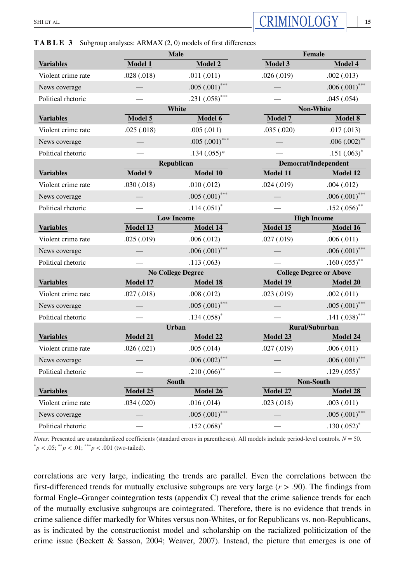# **Male Female Variables Model 1 Model 2 Model 3 Model 4** Violent crime rate .028 (.018) .011 (.011) .026 (.019) .002 (.013) News coverage — .005 (.001)<sup>\*\*\*</sup> — .005 (.001)<sup>\*\*\*</sup> Political rhetoric  $-$  .231 (.058)<sup>\*\*\*</sup>  $-$  .045 (.054) **White** Non-White Non-White **Variables Model 5 Model 6 Model 7 Model 8** Violent crime rate .025 (.018) .005 (.011) .005 (.020) .017 (.013) News coverage — .005 (.001)\*\*\* — .006 (.002)\*\* Political rhetoric  $-$  .134 (.055)\*  $-$  .151 (.063)\* **Republican Democrat/Independent Variables Model 9 Model 10 Model 11 Model 12** Violent crime rate .030 (.018) .010 (.012) .024 (.019) .004 (.012) News coverage  $-$  .005 (.001)<sup>\*\*\*</sup>  $-$  .006 (.001)<sup>\*\*\*</sup> Political rhetoric — .114 (.051)<sup>\*</sup> — .152 (.056)<sup>\*</sup> **Low Income High Income High Income Variables Model 13 Model 14 Model 15 Model 16** Violent crime rate .025 (.019) .006 (.012) .027 (.019) .027 (.011) News coverage — .006 (.001)\*\*\* — .006 (.001)\*\*\* Political rhetoric — .113 (.063) — .160 (.055)\* **No College Degree College Degree or Above Variables Model 17 Model 18 Model 19 Model 20** Violent crime rate .027 (.018) .008 (.012) .023 (.019) .002 (.011) News coverage — ...  $0.005 (0.001)^{***}$  — ...  $0.005 (0.001)^{*}$ Political rhetoric — .134 (.058)<sup>\*</sup> — .141 (.038)<sup>\*</sup> **Urban Rural/Suburban Variables Model 21 Model 22 Model 23 Model 24** Violent crime rate .026 (.021) .005 (.014) .027 (.019) .006 (.011) News coverage — .006 (.002)\*\*\* — .006 (.001)\*\*\* Political rhetoric  $-$  .210 (.066)<sup>\*\*</sup>  $-$  .129 (.055)<sup>\*</sup> **South** Non-South Non-South **Variables Model 25 Model 26 Model 27 Model 28** Violent crime rate .034 (.020) .016 (.014) .023 (.018) .003 (.011) News coverage  $-$  .005 (.001)<sup>\*\*\*</sup>  $-$  .005 (.001)<sup>\*\*\*</sup> Political rhetoric — .152 (.068)<sup>\*</sup> — .130 (.052)<sup>\*</sup>

**TABLE 3** Subgroup analyses: ARMAX (2, 0) models of first differences

*Notes:* Presented are unstandardized coefficients (standard errors in parentheses). All models include period-level controls. *N* = 50.  ${}^*p$  < .05;  ${}^{**}p$  < .01;  ${}^{***}p$  < .001 (two-tailed).

correlations are very large, indicating the trends are parallel. Even the correlations between the first-differenced trends for mutually exclusive subgroups are very large (*r >* .90). The findings from formal Engle–Granger cointegration tests (appendix C) reveal that the crime salience trends for each of the mutually exclusive subgroups are cointegrated. Therefore, there is no evidence that trends in crime salience differ markedly for Whites versus non-Whites, or for Republicans vs. non-Republicans, as is indicated by the constructionist model and scholarship on the racialized politicization of the crime issue (Beckett & Sasson, 2004; Weaver, 2007). Instead, the picture that emerges is one of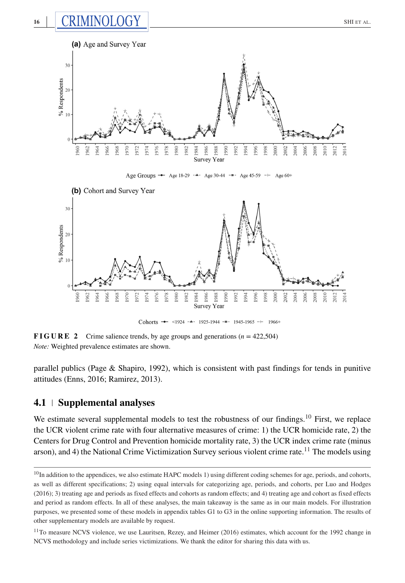

**FIGURE 2** Crime salience trends, by age groups and generations  $(n = 422,504)$ *Note:* Weighted prevalence estimates are shown.

parallel publics (Page & Shapiro, 1992), which is consistent with past findings for tends in punitive attitudes (Enns, 2016; Ramirez, 2013).

# **4.1 Supplemental analyses**

We estimate several supplemental models to test the robustness of our findings.<sup>10</sup> First, we replace the UCR violent crime rate with four alternative measures of crime: 1) the UCR homicide rate, 2) the Centers for Drug Control and Prevention homicide mortality rate, 3) the UCR index crime rate (minus arson), and 4) the National Crime Victimization Survey serious violent crime rate.<sup>11</sup> The models using

 $10$ In addition to the appendices, we also estimate HAPC models 1) using different coding schemes for age, periods, and cohorts, as well as different specifications; 2) using equal intervals for categorizing age, periods, and cohorts, per Luo and Hodges (2016); 3) treating age and periods as fixed effects and cohorts as random effects; and 4) treating age and cohort as fixed effects and period as random effects. In all of these analyses, the main takeaway is the same as in our main models. For illustration purposes, we presented some of these models in appendix tables G1 to G3 in the online supporting information. The results of other supplementary models are available by request.

<sup>&</sup>lt;sup>11</sup>To measure NCVS violence, we use Lauritsen, Rezey, and Heimer (2016) estimates, which account for the 1992 change in NCVS methodology and include series victimizations. We thank the editor for sharing this data with us.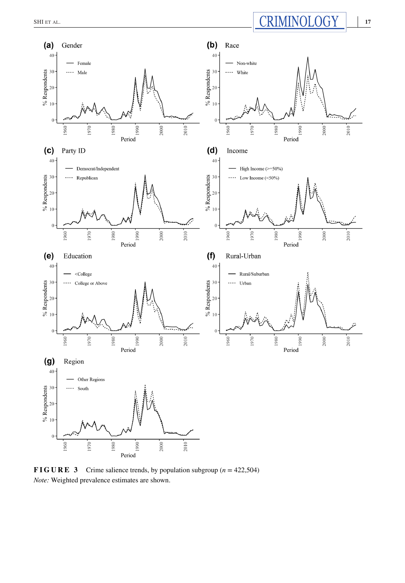

**FIGURE 3** Crime salience trends, by population subgroup ( $n = 422,504$ ) *Note:* Weighted prevalence estimates are shown.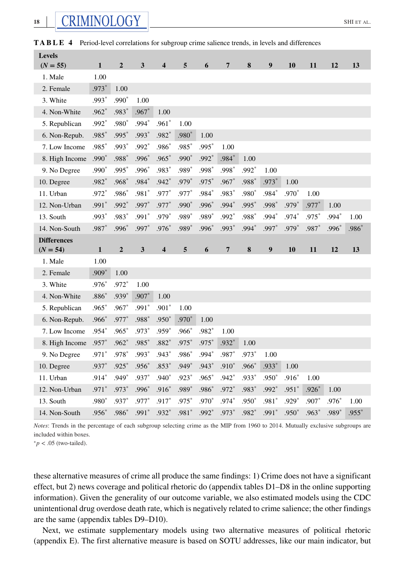| <b>Levels</b>      |              |                |         |                         |         |         |         |         |         |         |         |         |         |
|--------------------|--------------|----------------|---------|-------------------------|---------|---------|---------|---------|---------|---------|---------|---------|---------|
| $(N = 55)$         | 1            | $\overline{2}$ | 3       | 4                       | 5       | 6       | 7       | 8       | 9       | 10      | 11      | 12      | 13      |
| 1. Male            | 1.00         |                |         |                         |         |         |         |         |         |         |         |         |         |
| 2. Female          | $.973*$      | 1.00           |         |                         |         |         |         |         |         |         |         |         |         |
| 3. White           | $.993*$      | $.990*$        | 1.00    |                         |         |         |         |         |         |         |         |         |         |
| 4. Non-White       | $.962*$      | .983*          | $.967*$ | 1.00                    |         |         |         |         |         |         |         |         |         |
| 5. Republican      | $.992*$      | .980*          | $.994*$ | $.961*$                 | 1.00    |         |         |         |         |         |         |         |         |
| 6. Non-Repub.      | $.985*$      | $.995*$        | $.993*$ | $.982*$                 | .980*   | 1.00    |         |         |         |         |         |         |         |
| 7. Low Income      | $.985*$      | $.993*$        | $.992*$ | .986*                   | .985*   | $.995*$ | 1.00    |         |         |         |         |         |         |
| 8. High Income     | $.990*$      | .988*          | .996*   | $.965*$                 | .990*   | .992*   | $.984*$ | 1.00    |         |         |         |         |         |
| 9. No Degree       | $.990*$      | $.995*$        | $.996*$ | $.983*$                 | $.989*$ | .998*   | .998*   | .992*   | 1.00    |         |         |         |         |
| 10. Degree         | $.982*$      | $.968*$        | $.984*$ | $.942*$                 | .979*   | $.975*$ | $.967*$ | .988*   | $.973*$ | 1.00    |         |         |         |
| 11. Urban          | $.972*$      | $.986*$        | .981*   | .977*                   | .977*   | $.984*$ | .983*   | .980*   | $.984*$ | .970*   | 1.00    |         |         |
| 12. Non-Urban      | $.991*$      | .992*          | .997*   | .977*                   | $.990*$ | .996*   | $.994*$ | .995*   | $.998*$ | .979*   | $.977*$ | 1.00    |         |
| 13. South          | $.993*$      | .983*          | $.991*$ | $.979*$                 | $.989*$ | .989*   | $.992*$ | .988*   | $.994*$ | .974*   | $.975*$ | $.994*$ | 1.00    |
| 14. Non-South      | .987*        | .996*          | $.997*$ | $.976*$                 | .989*   | $.996*$ | $.993*$ | $.994*$ | $.997*$ | $.979*$ | .987*   | $.996*$ | .986*   |
| <b>Differences</b> |              |                |         |                         |         |         |         |         |         |         |         |         |         |
|                    |              |                |         |                         |         |         |         |         |         |         |         |         |         |
| $(N = 54)$         | $\mathbf{1}$ | $\overline{2}$ | 3       | $\overline{\mathbf{4}}$ | 5       | 6       | 7       | 8       | 9       | 10      | 11      | 12      | 13      |
| 1. Male            | 1.00         |                |         |                         |         |         |         |         |         |         |         |         |         |
| 2. Female          | $.909*$      | 1.00           |         |                         |         |         |         |         |         |         |         |         |         |
| 3. White           | $.976*$      | $.972*$        | 1.00    |                         |         |         |         |         |         |         |         |         |         |
| 4. Non-White       | $.886*$      | $.939*$        | $.907*$ | 1.00                    |         |         |         |         |         |         |         |         |         |
| 5. Republican      | $.965*$      | $.967*$        | $.991*$ | $.901*$                 | 1.00    |         |         |         |         |         |         |         |         |
| 6. Non-Repub.      | $.966*$      | .977*          | $.988*$ | $.950*$                 | $.970*$ | 1.00    |         |         |         |         |         |         |         |
| 7. Low Income      | $.954*$      | $.965*$        | .973*   | $.959*$                 | $.966*$ | $.982*$ | 1.00    |         |         |         |         |         |         |
| 8. High Income     | $.957*$      | $.962*$        | $.985*$ | $.882*$                 | $.975*$ | .975*   | $.932*$ | 1.00    |         |         |         |         |         |
| 9. No Degree       | $.971*$      | $.978*$        | $.993*$ | $.943*$                 | $.986*$ | .994*   | $.987*$ | .973*   | 1.00    |         |         |         |         |
| 10. Degree         | $.937*$      | $.925*$        | $.956*$ | $.853*$                 | $.949*$ | $.943*$ | $.910*$ | .966*   | $.933*$ | 1.00    |         |         |         |
| 11. Urban          | $.914*$      | $.949*$        | .937*   | $.940*$                 | $.923*$ | $.965*$ | $.942*$ | .933*   | $.950*$ | $.916*$ | 1.00    |         |         |
| 12. Non-Urban      | $.971*$      | $.973*$        | $.996*$ | $.916*$                 | .989*   | .986*   | .972*   | .983*   | $.992*$ | $.951*$ | $.926*$ | 1.00    |         |
| 13. South          | .980*        | .937*          | .977*   | .917*                   | .975*   | .970*   | $.974*$ | .950*   | .981*   | $.929*$ | $.907*$ | $.976*$ | 1.00    |
| 14. Non-South      | $.956*$      | .986*          | $.991*$ | $.932*$                 | $.981*$ | .992*   | $.973*$ | .982*   | $.991*$ | $.950*$ | $.963*$ | .989*   | $.955*$ |

**TABLE 4** Period-level correlations for subgroup crime salience trends, in levels and differences

*Notes*: Trends in the percentage of each subgroup selecting crime as the MIP from 1960 to 2014. Mutually exclusive subgroups are included within boxes.

<sup>∗</sup>*p <* .05 (two-tailed).

these alternative measures of crime all produce the same findings: 1) Crime does not have a significant effect, but 2) news coverage and political rhetoric do (appendix tables D1–D8 in the online supporting information). Given the generality of our outcome variable, we also estimated models using the CDC unintentional drug overdose death rate, which is negatively related to crime salience; the other findings are the same (appendix tables D9–D10).

Next, we estimate supplementary models using two alternative measures of political rhetoric (appendix E). The first alternative measure is based on SOTU addresses, like our main indicator, but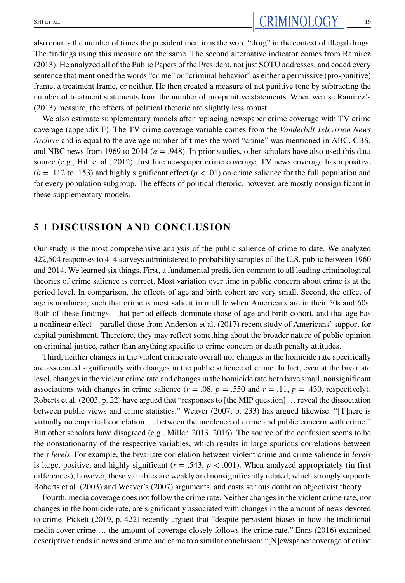We also estimate supplementary models after replacing newspaper crime coverage with TV crime coverage (appendix F). The TV crime coverage variable comes from the *Vanderbilt Television News Archive* and is equal to the average number of times the word "crime" was mentioned in ABC, CBS, and NBC news from 1969 to 2014 ( $\alpha = .948$ ). In prior studies, other scholars have also used this data source (e.g., Hill et al., 2012). Just like newspaper crime coverage, TV news coverage has a positive  $(b = .112$  to .153) and highly significant effect  $(p < .01)$  on crime salience for the full population and for every population subgroup. The effects of political rhetoric, however, are mostly nonsignificant in these supplementary models.

# **5 DISCUSSION AND CONCLUSION**

Our study is the most comprehensive analysis of the public salience of crime to date. We analyzed 422,504 responses to 414 surveys administered to probability samples of the U.S. public between 1960 and 2014. We learned six things. First, a fundamental prediction common to all leading criminological theories of crime salience is correct. Most variation over time in public concern about crime is at the period level. In comparison, the effects of age and birth cohort are very small. Second, the effect of age is nonlinear, such that crime is most salient in midlife when Americans are in their 50s and 60s. Both of these findings—that period effects dominate those of age and birth cohort, and that age has a nonlinear effect—parallel those from Anderson et al. (2017) recent study of Americans' support for capital punishment. Therefore, they may reflect something about the broader nature of public opinion on criminal justice, rather than anything specific to crime concern or death penalty attitudes.

Third, neither changes in the violent crime rate overall nor changes in the homicide rate specifically are associated significantly with changes in the public salience of crime. In fact, even at the bivariate level, changes in the violent crime rate and changes in the homicide rate both have small, nonsignificant associations with changes in crime salience  $(r = .08, p = .550$  and  $r = .11, p = .430$ , respectively). Roberts et al. (2003, p. 22) have argued that "responses to [the MIP question] … reveal the dissociation between public views and crime statistics." Weaver (2007, p. 233) has argued likewise: "[T]here is virtually no empirical correlation … between the incidence of crime and public concern with crime." But other scholars have disagreed (e.g., Miller, 2013, 2016). The source of the confusion seems to be the nonstationarity of the respective variables, which results in large spurious correlations between their *levels*. For example, the bivariate correlation between violent crime and crime salience in *levels* is large, positive, and highly significant  $(r = .543, p < .001)$ . When analyzed appropriately (in first differences), however, these variables are weakly and nonsignificantly related, which strongly supports Roberts et al. (2003) and Weaver's (2007) arguments, and casts serious doubt on objectivist theory.

Fourth, media coverage does not follow the crime rate. Neither changes in the violent crime rate, nor changes in the homicide rate, are significantly associated with changes in the amount of news devoted to crime. Pickett (2019, p. 422) recently argued that "despite persistent biases in how the traditional media cover crime … the amount of coverage closely follows the crime rate." Enns (2016) examined descriptive trends in news and crime and came to a similar conclusion: "[N]ewspaper coverage of crime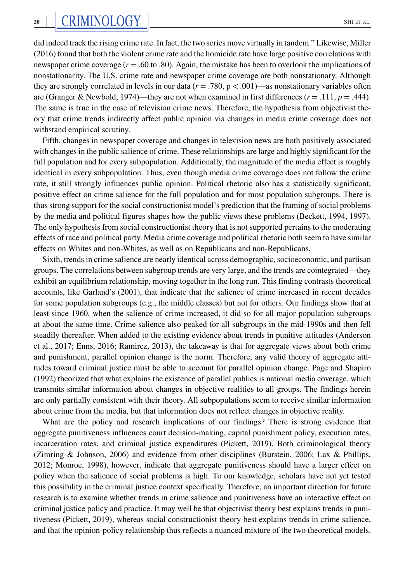did indeed track the rising crime rate. In fact, the two series move virtually in tandem." Likewise, Miller (2016) found that both the violent crime rate and the homicide rate have large positive correlations with newspaper crime coverage (*r* = .60 to .80). Again, the mistake has been to overlook the implications of nonstationarity. The U.S. crime rate and newspaper crime coverage are both nonstationary. Although they are strongly correlated in levels in our data  $(r = .780, p < .001)$ —as nonstationary variables often are (Granger & Newbold, 1974)—they are not when examined in first differences ( $r = .111$ ,  $p = .444$ ). The same is true in the case of television crime news. Therefore, the hypothesis from objectivist theory that crime trends indirectly affect public opinion via changes in media crime coverage does not withstand empirical scrutiny.

Fifth, changes in newspaper coverage and changes in television news are both positively associated with changes in the public salience of crime. These relationships are large and highly significant for the full population and for every subpopulation. Additionally, the magnitude of the media effect is roughly identical in every subpopulation. Thus, even though media crime coverage does not follow the crime rate, it still strongly influences public opinion. Political rhetoric also has a statistically significant, positive effect on crime salience for the full population and for most population subgroups. There is thus strong support for the social constructionist model's prediction that the framing of social problems by the media and political figures shapes how the public views these problems (Beckett, 1994, 1997). The only hypothesis from social constructionist theory that is not supported pertains to the moderating effects of race and political party. Media crime coverage and political rhetoric both seem to have similar effects on Whites and non-Whites, as well as on Republicans and non-Republicans.

Sixth, trends in crime salience are nearly identical across demographic, socioeconomic, and partisan groups. The correlations between subgroup trends are very large, and the trends are cointegrated—they exhibit an equilibrium relationship, moving together in the long run. This finding contrasts theoretical accounts, like Garland's (2001), that indicate that the salience of crime increased in recent decades for some population subgroups (e.g., the middle classes) but not for others. Our findings show that at least since 1960, when the salience of crime increased, it did so for all major population subgroups at about the same time. Crime salience also peaked for all subgroups in the mid-1990s and then fell steadily thereafter. When added to the existing evidence about trends in punitive attitudes (Anderson et al., 2017; Enns, 2016; Ramirez, 2013), the takeaway is that for aggregate views about both crime and punishment, parallel opinion change is the norm. Therefore, any valid theory of aggregate attitudes toward criminal justice must be able to account for parallel opinion change. Page and Shapiro (1992) theorized that what explains the existence of parallel publics is national media coverage, which transmits similar information about changes in objective realities to all groups. The findings herein are only partially consistent with their theory. All subpopulations seem to receive similar information about crime from the media, but that information does not reflect changes in objective reality.

What are the policy and research implications of our findings? There is strong evidence that aggregate punitiveness influences court decision-making, capital punishment policy, execution rates, incarceration rates, and criminal justice expenditures (Pickett, 2019). Both criminological theory (Zimring & Johnson, 2006) and evidence from other disciplines (Burstein, 2006; Lax & Phillips, 2012; Monroe, 1998), however, indicate that aggregate punitiveness should have a larger effect on policy when the salience of social problems is high. To our knowledge, scholars have not yet tested this possibility in the criminal justice context specifically. Therefore, an important direction for future research is to examine whether trends in crime salience and punitiveness have an interactive effect on criminal justice policy and practice. It may well be that objectivist theory best explains trends in punitiveness (Pickett, 2019), whereas social constructionist theory best explains trends in crime salience, and that the opinion-policy relationship thus reflects a nuanced mixture of the two theoretical models.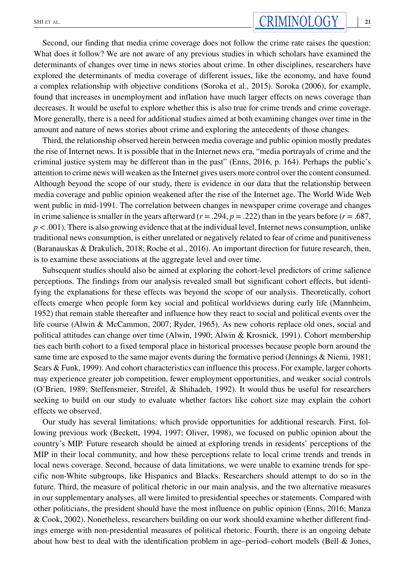Second, our finding that media crime coverage does not follow the crime rate raises the question: What does it follow? We are not aware of any previous studies in which scholars have examined the determinants of changes over time in news stories about crime. In other disciplines, researchers have explored the determinants of media coverage of different issues, like the economy, and have found a complex relationship with objective conditions (Soroka et al., 2015). Soroka (2006), for example, found that increases in unemployment and inflation have much larger effects on news coverage than decreases. It would be useful to explore whether this is also true for crime trends and crime coverage. More generally, there is a need for additional studies aimed at both examining changes over time in the amount and nature of news stories about crime and exploring the antecedents of those changes.

Third, the relationship observed herein between media coverage and public opinion mostly predates the rise of Internet news. It is possible that in the Internet news era, "media portrayals of crime and the criminal justice system may be different than in the past" (Enns, 2016, p. 164). Perhaps the public's attention to crime news will weaken as the Internet gives users more control over the content consumed. Although beyond the scope of our study, there is evidence in our data that the relationship between media coverage and public opinion weakened after the rise of the Internet age. The World Wide Web went public in mid-1991. The correlation between changes in newspaper crime coverage and changes in crime salience is smaller in the years afterward ( $r = .294$ ,  $p = .222$ ) than in the years before ( $r = .687$ , *p <* .001). There is also growing evidence that at the individual level, Internet news consumption, unlike traditional news consumption, is either unrelated or negatively related to fear of crime and punitiveness (Baranauskas & Drakulich, 2018; Roche et al., 2016). An important direction for future research, then, is to examine these associations at the aggregate level and over time.

Subsequent studies should also be aimed at exploring the cohort-level predictors of crime salience perceptions. The findings from our analysis revealed small but significant cohort effects, but identifying the explanations for these effects was beyond the scope of our analysis. Theoretically, cohort effects emerge when people form key social and political worldviews during early life (Mannheim, 1952) that remain stable thereafter and influence how they react to social and political events over the life course (Alwin & McCammon, 2007; Ryder, 1965). As new cohorts replace old ones, social and political attitudes can change over time (Alwin, 1990; Alwin & Krosnick, 1991). Cohort membership ties each birth cohort to a fixed temporal place in historical processes because people born around the same time are exposed to the same major events during the formative period (Jennings & Niemi, 1981; Sears & Funk, 1999). And cohort characteristics can influence this process. For example, larger cohorts may experience greater job competition, fewer employment opportunities, and weaker social controls (O'Brien, 1989; Steffensmeier, Streifel, & Shihadeh, 1992). It would thus be useful for researchers seeking to build on our study to evaluate whether factors like cohort size may explain the cohort effects we observed.

Our study has several limitations, which provide opportunities for additional research. First, following previous work (Beckett, 1994, 1997; Oliver, 1998), we focused on public opinion about the country's MIP. Future research should be aimed at exploring trends in residents' perceptions of the MIP in their local community, and how these perceptions relate to local crime trends and trends in local news coverage. Second, because of data limitations, we were unable to examine trends for specific non-White subgroups, like Hispanics and Blacks. Researchers should attempt to do so in the future. Third, the measure of political rhetoric in our main analysis, and the two alternative measures in our supplementary analyses, all were limited to presidential speeches or statements. Compared with other politicians, the president should have the most influence on public opinion (Enns, 2016; Manza & Cook, 2002). Nonetheless, researchers building on our work should examine whether different findings emerge with non-presidential measures of political rhetoric. Fourth, there is an ongoing debate about how best to deal with the identification problem in age–period–cohort models (Bell & Jones,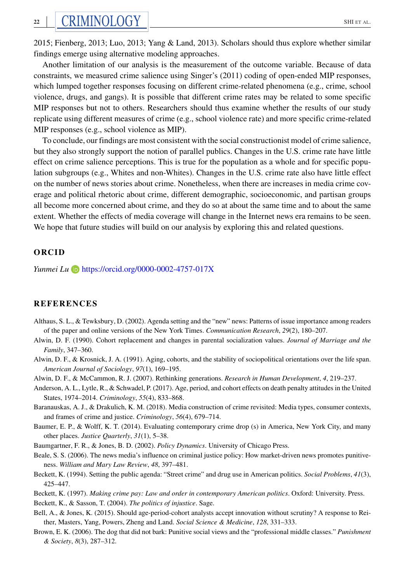Another limitation of our analysis is the measurement of the outcome variable. Because of data constraints, we measured crime salience using Singer's (2011) coding of open-ended MIP responses, which lumped together responses focusing on different crime-related phenomena (e.g., crime, school violence, drugs, and gangs). It is possible that different crime rates may be related to some specific MIP responses but not to others. Researchers should thus examine whether the results of our study replicate using different measures of crime (e.g., school violence rate) and more specific crime-related MIP responses (e.g., school violence as MIP).

To conclude, our findings are most consistent with the social constructionist model of crime salience, but they also strongly support the notion of parallel publics. Changes in the U.S. crime rate have little effect on crime salience perceptions. This is true for the population as a whole and for specific population subgroups (e.g., Whites and non-Whites). Changes in the U.S. crime rate also have little effect on the number of news stories about crime. Nonetheless, when there are increases in media crime coverage and political rhetoric about crime, different demographic, socioeconomic, and partisan groups all become more concerned about crime, and they do so at about the same time and to about the same extent. Whether the effects of media coverage will change in the Internet news era remains to be seen. We hope that future studies will build on our analysis by exploring this and related questions.

#### **ORCID**

*Yunmei Lu* <https://orcid.org/0000-0002-4757-017X>

#### **REFERENCES**

- Althaus, S. L., & Tewksbury, D. (2002). Agenda setting and the "new" news: Patterns of issue importance among readers of the paper and online versions of the New York Times. *Communication Research*, *29*(2), 180–207.
- Alwin, D. F. (1990). Cohort replacement and changes in parental socialization values. *Journal of Marriage and the Family*, 347–360.
- Alwin, D. F., & Krosnick, J. A. (1991). Aging, cohorts, and the stability of sociopolitical orientations over the life span. *American Journal of Sociology*, *97*(1), 169–195.
- Alwin, D. F., & McCammon, R. J. (2007). Rethinking generations. *Research in Human Development*, *4*, 219–237.
- Anderson, A. L., Lytle, R., & Schwadel, P. (2017). Age, period, and cohort effects on death penalty attitudes in the United States, 1974–2014. *Criminology*, *55*(4), 833–868.
- Baranauskas, A. J., & Drakulich, K. M. (2018). Media construction of crime revisited: Media types, consumer contexts, and frames of crime and justice. *Criminology*, *56*(4), 679–714.
- Baumer, E. P., & Wolff, K. T. (2014). Evaluating contemporary crime drop (s) in America, New York City, and many other places. *Justice Quarterly*, *31*(1), 5–38.
- Baumgartner, F. R., & Jones, B. D. (2002). *Policy Dynamics*. University of Chicago Press.
- Beale, S. S. (2006). The news media's influence on criminal justice policy: How market-driven news promotes punitiveness. *William and Mary Law Review*, *48*, 397–481.
- Beckett, K. (1994). Setting the public agenda: "Street crime" and drug use in American politics. *Social Problems*, *41*(3), 425–447.
- Beckett, K. (1997). *Making crime pay: Law and order in contemporary American politics*. Oxford: University. Press. Beckett, K., & Sasson, T. (2004). *The politics of injustice*. Sage.
- Bell, A., & Jones, K. (2015). Should age-period-cohort analysts accept innovation without scrutiny? A response to Reither, Masters, Yang, Powers, Zheng and Land. *Social Science & Medicine*, *128*, 331–333.
- Brown, E. K. (2006). The dog that did not bark: Punitive social views and the "professional middle classes." *Punishment & Society*, *8*(3), 287–312.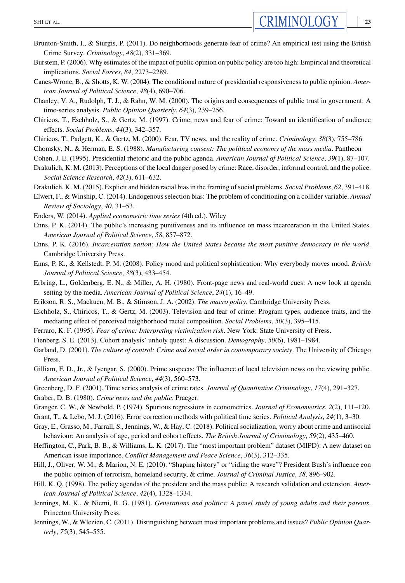- Brunton-Smith, I., & Sturgis, P. (2011). Do neighborhoods generate fear of crime? An empirical test using the British Crime Survey. *Criminology*, *48*(2), 331–369.
- Burstein, P. (2006). Why estimates of the impact of public opinion on public policy are too high: Empirical and theoretical implications. *Social Forces*, *84*, 2273–2289.
- Canes-Wrone, B., & Shotts, K. W. (2004). The conditional nature of presidential responsiveness to public opinion. *American Journal of Political Science*, *48*(4), 690–706.
- Chanley, V. A., Rudolph, T. J., & Rahn, W. M. (2000). The origins and consequences of public trust in government: A time-series analysis. *Public Opinion Quarterly*, *64*(3), 239–256.
- Chiricos, T., Eschholz, S., & Gertz, M. (1997). Crime, news and fear of crime: Toward an identification of audience effects. *Social Problems*, *44*(3), 342–357.
- Chiricos, T., Padgett, K., & Gertz, M. (2000). Fear, TV news, and the reality of crime. *Criminology*, *38*(3), 755–786.
- Chomsky, N., & Herman, E. S. (1988). *Manufacturing consent: The political economy of the mass media*. Pantheon
- Cohen, J. E. (1995). Presidential rhetoric and the public agenda. *American Journal of Political Science*, *39*(1), 87–107.
- Drakulich, K. M. (2013). Perceptions of the local danger posed by crime: Race, disorder, informal control, and the police. *Social Science Research*, *42*(3), 611–632.
- Drakulich, K. M. (2015). Explicit and hidden racial bias in the framing of social problems. *Social Problems*, *62*, 391–418.
- Elwert, F., & Winship, C. (2014). Endogenous selection bias: The problem of conditioning on a collider variable. *Annual Review of Sociology*, *40*, 31–53.
- Enders, W. (2014). *Applied econometric time series* (4th ed.). Wiley
- Enns, P. K. (2014). The public's increasing punitiveness and its influence on mass incarceration in the United States. *American Journal of Political Science*, *58*, 857–872.
- Enns, P. K. (2016). *Incarceration nation: How the United States became the most punitive democracy in the world*. Cambridge University Press.
- Enns, P. K., & Kellstedt, P. M. (2008). Policy mood and political sophistication: Why everybody moves mood. *British Journal of Political Science*, *38*(3), 433–454.
- Erbring, L., Goldenberg, E. N., & Miller, A. H. (1980). Front-page news and real-world cues: A new look at agenda setting by the media. *American Journal of Political Science*, *24*(1), 16–49.
- Erikson, R. S., Mackuen, M. B., & Stimson, J. A. (2002). *The macro polity*. Cambridge University Press.
- Eschholz, S., Chiricos, T., & Gertz, M. (2003). Television and fear of crime: Program types, audience traits, and the mediating effect of perceived neighborhood racial composition. *Social Problems*, *50*(3), 395–415.
- Ferraro, K. F. (1995). *Fear of crime: Interpreting victimization risk*. New York: State University of Press.
- Fienberg, S. E. (2013). Cohort analysis' unholy quest: A discussion. *Demography*, *50*(6), 1981–1984.
- Garland, D. (2001). *The culture of control: Crime and social order in contemporary society*. The University of Chicago Press.
- Gilliam, F. D., Jr., & Iyengar, S. (2000). Prime suspects: The influence of local television news on the viewing public. *American Journal of Political Science*, *44*(3), 560–573.
- Greenberg, D. F. (2001). Time series analysis of crime rates. *Journal of Quantitative Criminology*, *17*(4), 291–327.
- Graber, D. B. (1980). *Crime news and the public*. Praeger.
- Granger, C. W., & Newbold, P. (1974). Spurious regressions in econometrics. *Journal of Econometrics*, *2*(2), 111–120.
- Grant, T., & Lebo, M. J. (2016). Error correction methods with political time series. *Political Analysis*, *24*(1), 3–30.
- Gray, E., Grasso, M., Farrall, S., Jennings, W., & Hay, C. (2018). Political socialization, worry about crime and antisocial behaviour: An analysis of age, period and cohort effects. *The British Journal of Criminology*, *59*(2), 435–460.
- Heffington, C., Park, B. B., & Williams, L. K. (2017). The "most important problem" dataset (MIPD): A new dataset on American issue importance. *Conflict Management and Peace Science*, *36*(3), 312–335.
- Hill, J., Oliver, W. M., & Marion, N. E. (2010). "Shaping history" or "riding the wave"? President Bush's influence eon the public opinion of terrorism, homeland security, & crime. *Journal of Criminal Justice*, *38*, 896–902.
- Hill, K. Q. (1998). The policy agendas of the president and the mass public: A research validation and extension. *American Journal of Political Science*, *42*(4), 1328–1334.
- Jennings, M. K., & Niemi, R. G. (1981). *Generations and politics: A panel study of young adults and their parents*. Princeton University Press.
- Jennings, W., & Wlezien, C. (2011). Distinguishing between most important problems and issues? *Public Opinion Quarterly*, *75*(3), 545–555.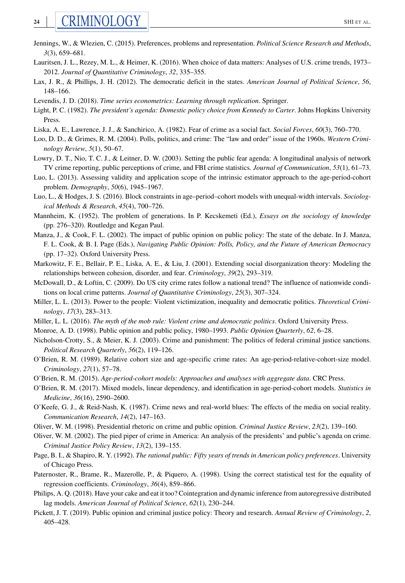- Jennings, W., & Wlezien, C. (2015). Preferences, problems and representation. *Political Science Research and Methods*, *3*(3), 659–681.
- Lauritsen, J. L., Rezey, M. L., & Heimer, K. (2016). When choice of data matters: Analyses of U.S. crime trends, 1973– 2012. *Journal of Quantitative Criminology*, *32*, 335–355.
- Lax, J. R., & Phillips, J. H. (2012). The democratic deficit in the states. *American Journal of Political Science*, *56*, 148–166.
- Levendis, J. D. (2018). *Time series econometrics: Learning through replication*. Springer.
- Light, P. C. (1982). *The president's agenda: Domestic policy choice from Kennedy to Carter*. Johns Hopkins University Press.
- Liska, A. E., Lawrence, J. J., & Sanchirico, A. (1982). Fear of crime as a social fact. *Social Forces*, *60*(3), 760–770.
- Loo, D. D., & Grimes, R. M. (2004). Polls, politics, and crime: The "law and order" issue of the 1960s. *Western Criminology Review*, *5*(1), 50–67.
- Lowry, D. T., Nio, T. C. J., & Leitner, D. W. (2003). Setting the public fear agenda: A longitudinal analysis of network TV crime reporting, public perceptions of crime, and FBI crime statistics. *Journal of Communication*, *53*(1), 61–73.
- Luo, L. (2013). Assessing validity and application scope of the intrinsic estimator approach to the age-period-cohort problem. *Demography*, *50*(6), 1945–1967.
- Luo, L., & Hodges, J. S. (2016). Block constraints in age–period–cohort models with unequal-width intervals. *Sociological Methods & Research*, *45*(4), 700–726.
- Mannheim, K. (1952). The problem of generations. In P. Kecskemeti (Ed.), *Essays on the sociology of knowledge* (pp. 276–320). Routledge and Kegan Paul.
- Manza, J., & Cook, F. L. (2002). The impact of public opinion on public policy: The state of the debate. In J. Manza, F. L. Cook, & B. I. Page (Eds.), *Navigating Public Opinion: Polls, Policy, and the Future of American Democracy* (pp. 17–32). Oxford University Press.
- Markowitz, F. E., Bellair, P. E., Liska, A. E., & Liu, J. (2001). Extending social disorganization theory: Modeling the relationships between cohesion, disorder, and fear. *Criminology*, *39*(2), 293–319.
- McDowall, D., & Loftin, C. (2009). Do US city crime rates follow a national trend? The influence of nationwide conditions on local crime patterns. *Journal of Quantitative Criminology*, *25*(3), 307–324.
- Miller, L. L. (2013). Power to the people: Violent victimization, inequality and democratic politics. *Theoretical Criminology*, *17*(3), 283–313.
- Miller, L. L. (2016). *The myth of the mob rule: Violent crime and democratic politics*. Oxford University Press.
- Monroe, A. D. (1998). Public opinion and public policy, 1980–1993. *Public Opinion Quarterly*, *62*, 6–28.
- Nicholson-Crotty, S., & Meier, K. J. (2003). Crime and punishment: The politics of federal criminal justice sanctions. *Political Research Quarterly*, *56*(2), 119–126.
- O'Brien, R. M. (1989). Relative cohort size and age-specific crime rates: An age-period-relative-cohort-size model. *Criminology*, *27*(1), 57–78.
- O'Brien, R. M. (2015). *Age-period-cohort models: Approaches and analyses with aggregate data*. CRC Press.
- O'Brien, R. M. (2017). Mixed models, linear dependency, and identification in age-period-cohort models. *Statistics in Medicine*, *36*(16), 2590–2600.
- O'Keefe, G. J., & Reid-Nash, K. (1987). Crime news and real-world blues: The effects of the media on social reality. *Communication Research*, *14*(2), 147–163.
- Oliver, W. M. (1998). Presidential rhetoric on crime and public opinion. *Criminal Justice Review*, *23*(2), 139–160.
- Oliver, W. M. (2002). The pied piper of crime in America: An analysis of the presidents' and public's agenda on crime. *Criminal Justice Policy Review*, *13*(2), 139–155.
- Page, B. I., & Shapiro, R. Y. (1992). *The rational public: Fifty years of trends in American policy preferences*. University of Chicago Press.
- Paternoster, R., Brame, R., Mazerolle, P., & Piquero, A. (1998). Using the correct statistical test for the equality of regression coefficients. *Criminology*, *36*(4), 859–866.
- Philips, A. Q. (2018). Have your cake and eat it too? Cointegration and dynamic inference from autoregressive distributed lag models. *American Journal of Political Science*, *62*(1), 230–244.
- Pickett, J. T. (2019). Public opinion and criminal justice policy: Theory and research. *Annual Review of Criminology*, *2*, 405–428.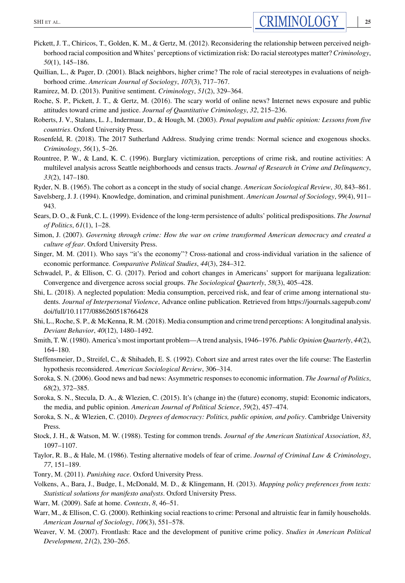- Pickett, J. T., Chiricos, T., Golden, K. M., & Gertz, M. (2012). Reconsidering the relationship between perceived neighborhood racial composition and Whites' perceptions of victimization risk: Do racial stereotypes matter? *Criminology*, *50*(1), 145–186.
- Quillian, L., & Pager, D. (2001). Black neighbors, higher crime? The role of racial stereotypes in evaluations of neighborhood crime. *American Journal of Sociology*, *107*(3), 717–767.
- Ramirez, M. D. (2013). Punitive sentiment. *Criminology*, *51*(2), 329–364.
- Roche, S. P., Pickett, J. T., & Gertz, M. (2016). The scary world of online news? Internet news exposure and public attitudes toward crime and justice. *Journal of Quantitative Criminology*, *32*, 215–236.
- Roberts, J. V., Stalans, L. J., Indermaur, D., & Hough, M. (2003). *Penal populism and public opinion: Lessons from five countries*. Oxford University Press.
- Rosenfeld, R. (2018). The 2017 Sutherland Address. Studying crime trends: Normal science and exogenous shocks. *Criminology*, *56*(1), 5–26.
- Rountree, P. W., & Land, K. C. (1996). Burglary victimization, perceptions of crime risk, and routine activities: A multilevel analysis across Seattle neighborhoods and census tracts. *Journal of Research in Crime and Delinquency*, *33*(2), 147–180.
- Ryder, N. B. (1965). The cohort as a concept in the study of social change. *American Sociological Review*, *30*, 843–861.
- Savelsberg, J. J. (1994). Knowledge, domination, and criminal punishment. *American Journal of Sociology*, *99*(4), 911– 943.
- Sears, D. O., & Funk, C. L. (1999). Evidence of the long-term persistence of adults' political predispositions. *The Journal of Politics*, *61*(1), 1–28.
- Simon, J. (2007). *Governing through crime: How the war on crime transformed American democracy and created a culture of fear*. Oxford University Press.
- Singer, M. M. (2011). Who says "it's the economy"? Cross-national and cross-individual variation in the salience of economic performance. *Comparative Political Studies*, *44*(3), 284–312.
- Schwadel, P., & Ellison, C. G. (2017). Period and cohort changes in Americans' support for marijuana legalization: Convergence and divergence across social groups. *The Sociological Quarterly*, *58*(3), 405–428.
- Shi, L. (2018). A neglected population: Media consumption, perceived risk, and fear of crime among international students. *Journal of Interpersonal Violence*, Advance online publication. Retrieved from [https://journals.sagepub.com/](https://journals.sagepub.com/doi/full/10.1177/0886260518766428) [doi/full/10.1177/0886260518766428](https://journals.sagepub.com/doi/full/10.1177/0886260518766428)
- Shi, L., Roche, S. P., & McKenna, R. M. (2018). Media consumption and crime trend perceptions: A longitudinal analysis. *Deviant Behavior*, *40*(12), 1480–1492.
- Smith, T. W. (1980). America's most important problem—A trend analysis, 1946–1976. *Public Opinion Quarterly*, *44*(2), 164–180.
- Steffensmeier, D., Streifel, C., & Shihadeh, E. S. (1992). Cohort size and arrest rates over the life course: The Easterlin hypothesis reconsidered. *American Sociological Review*, 306–314.
- Soroka, S. N. (2006). Good news and bad news: Asymmetric responses to economic information. *The Journal of Politics*, *68*(2), 372–385.
- Soroka, S. N., Stecula, D. A., & Wlezien, C. (2015). It's (change in) the (future) economy, stupid: Economic indicators, the media, and public opinion. *American Journal of Political Science*, *59*(2), 457–474.
- Soroka, S. N., & Wlezien, C. (2010). *Degrees of democracy: Politics, public opinion, and policy*. Cambridge University Press.
- Stock, J. H., & Watson, M. W. (1988). Testing for common trends. *Journal of the American Statistical Association*, *83*, 1097–1107.
- Taylor, R. B., & Hale, M. (1986). Testing alternative models of fear of crime. *Journal of Criminal Law & Criminology*, *77*, 151–189.
- Tonry, M. (2011). *Punishing race*. Oxford University Press.
- Volkens, A., Bara, J., Budge, I., McDonald, M. D., & Klingemann, H. (2013). *Mapping policy preferences from texts: Statistical solutions for manifesto analysts*. Oxford University Press.
- Warr, M. (2009). Safe at home. *Contexts*, *8*, 46–51.
- Warr, M., & Ellison, C. G. (2000). Rethinking social reactions to crime: Personal and altruistic fear in family households. *American Journal of Sociology*, *106*(3), 551–578.
- Weaver, V. M. (2007). Frontlash: Race and the development of punitive crime policy. *Studies in American Political Development*, *21*(2), 230–265.